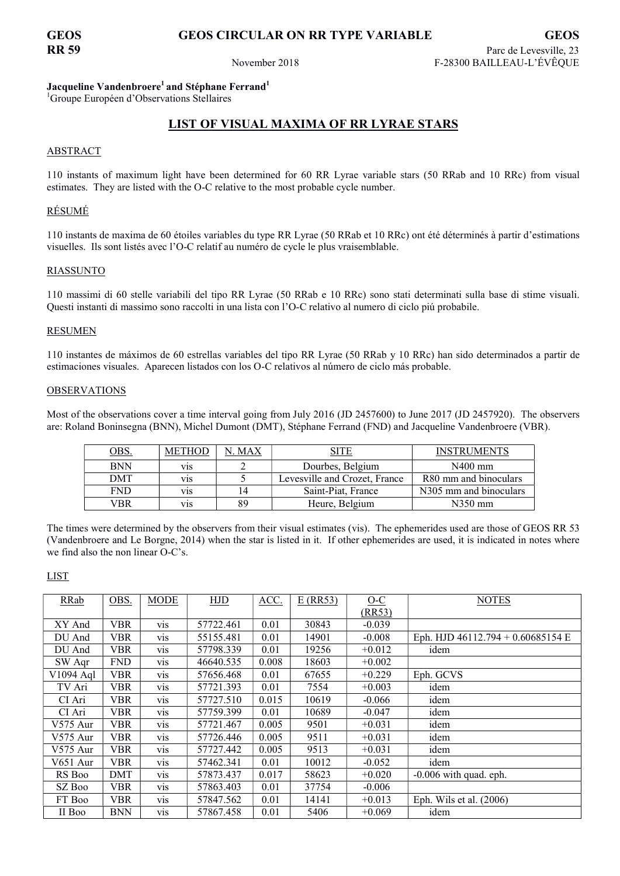# GEOS GEOS CIRCULAR ON RR TYPE VARIABLE GEOS

### Jacqueline Vandenbroere<sup>1</sup> and Stéphane Ferrand<sup>1</sup>

<sup>1</sup>Groupe Européen d'Observations Stellaires

# LIST OF VISUAL MAXIMA OF RR LYRAE STARS

#### ABSTRACT

110 instants of maximum light have been determined for 60 RR Lyrae variable stars (50 RRab and 10 RRc) from visual estimates. They are listed with the O-C relative to the most probable cycle number.

### RÉSUMÉ

110 instants de maxima de 60 étoiles variables du type RR Lyrae (50 RRab et 10 RRc) ont été déterminés à partir d'estimations visuelles. Ils sont listés avec l'O-C relatif au numéro de cycle le plus vraisemblable.

#### RIASSUNTO

110 massimi di 60 stelle variabili del tipo RR Lyrae (50 RRab e 10 RRc) sono stati determinati sulla base di stime visuali. Questi instanti di massimo sono raccolti in una lista con l'O-C relativo al numero di ciclo piú probabile.

#### RESUMEN

110 instantes de máximos de 60 estrellas variables del tipo RR Lyrae (50 RRab y 10 RRc) han sido determinados a partir de estimaciones visuales. Aparecen listados con los O-C relativos al número de ciclo más probable.

#### OBSERVATIONS

Most of the observations cover a time interval going from July 2016 (JD 2457600) to June 2017 (JD 2457920). The observers are: Roland Boninsegna (BNN), Michel Dumont (DMT), Stéphane Ferrand (FND) and Jacqueline Vandenbroere (VBR).

| <u>OBS.</u> | <b>METHOD</b> | . MAX |                               | <b>INSTRUMENTS</b>     |
|-------------|---------------|-------|-------------------------------|------------------------|
| <b>BNN</b>  | V1S           |       | Dourbes, Belgium              | $N400$ mm              |
| DMT         | V1S           |       | Levesville and Crozet, France | R80 mm and binoculars  |
| FND         | V1S           | 14    | Saint-Piat, France            | N305 mm and binoculars |
| /BR         | V1S           | 89    | Heure, Belgium                | N350 mm                |

The times were determined by the observers from their visual estimates (vis). The ephemerides used are those of GEOS RR 53 (Vandenbroere and Le Borgne, 2014) when the star is listed in it. If other ephemerides are used, it is indicated in notes where we find also the non linear O-C's.

#### LIST

| RRab       | OBS.       | <b>MODE</b>      | <b>HJD</b> | ACC.  | $E$ (RR53) | $O-C$    | <b>NOTES</b>                        |
|------------|------------|------------------|------------|-------|------------|----------|-------------------------------------|
|            |            |                  |            |       |            | (RR53)   |                                     |
| XY And     | <b>VBR</b> | <b>Vis</b>       | 57722.461  | 0.01  | 30843      | $-0.039$ |                                     |
| DU And     | <b>VBR</b> | vis              | 55155.481  | 0.01  | 14901      | $-0.008$ | Eph. HJD $46112.794 + 0.60685154$ E |
| DU And     | <b>VBR</b> | V1S              | 57798.339  | 0.01  | 19256      | $+0.012$ | idem                                |
| SW Agr     | <b>FND</b> | V1S              | 46640.535  | 0.008 | 18603      | $+0.002$ |                                     |
| V1094 Aql  | <b>VBR</b> | <b>VIS</b>       | 57656.468  | 0.01  | 67655      | $+0.229$ | Eph. GCVS                           |
| TV Ari     | VBR        | V <sub>1</sub> S | 57721.393  | 0.01  | 7554       | $+0.003$ | idem                                |
| CI Ari     | <b>VBR</b> | <b>VIS</b>       | 57727.510  | 0.015 | 10619      | $-0.066$ | idem                                |
| CI Ari     | <b>VBR</b> | <b>Vis</b>       | 57759.399  | 0.01  | 10689      | $-0.047$ | idem                                |
| V575 Aur   | <b>VBR</b> | V1S              | 57721.467  | 0.005 | 9501       | $+0.031$ | idem                                |
| V575 Aur   | <b>VBR</b> | <b>VIS</b>       | 57726.446  | 0.005 | 9511       | $+0.031$ | idem                                |
| $V575$ Aur | <b>VBR</b> | <b>VIS</b>       | 57727.442  | 0.005 | 9513       | $+0.031$ | idem                                |
| V651 Aur   | <b>VBR</b> | <b>VIS</b>       | 57462.341  | 0.01  | 10012      | $-0.052$ | idem                                |
| RS Boo     | DMT        | V1S              | 57873.437  | 0.017 | 58623      | $+0.020$ | $-0.006$ with quad. eph.            |
| SZ Boo     | VBR        | V <sub>1</sub> S | 57863.403  | 0.01  | 37754      | $-0.006$ |                                     |
| FT Boo     | <b>VBR</b> | V <sub>1</sub> S | 57847.562  | 0.01  | 14141      | $+0.013$ | Eph. Wils et al. $(2006)$           |
| II Boo     | <b>BNN</b> | vis              | 57867.458  | 0.01  | 5406       | $+0.069$ | idem                                |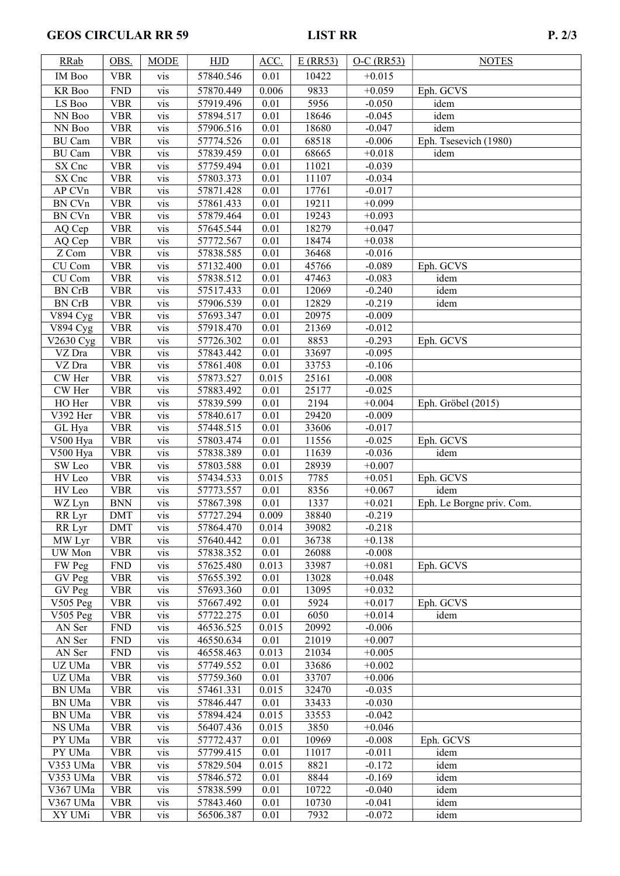# GEOS CIRCULAR RR 59 LIST RR

| <b>RRab</b>                | OBS.                     | <b>MODE</b>      | HJD                    | ACC.         | E(RR53)      | $O-C$ (RR53)         | <b>NOTES</b>              |
|----------------------------|--------------------------|------------------|------------------------|--------------|--------------|----------------------|---------------------------|
| IM Boo                     | <b>VBR</b>               | vis              | 57840.546              | 0.01         | 10422        | $+0.015$             |                           |
| KR Boo                     | ${\rm FND}$              | vis              | 57870.449              | 0.006        | 9833         | $+0.059$             | Eph. GCVS                 |
| LS Boo                     | <b>VBR</b>               | vis              | 57919.496              | 0.01         | 5956         | $-0.050$             | $\overline{\text{id}}$ em |
| NN Boo                     | <b>VBR</b>               | vis              | 57894.517              | 0.01         | 18646        | $-0.045$             | idem                      |
| NN Boo                     | <b>VBR</b>               | vis              | 57906.516              | 0.01         | 18680        | $-0.047$             | idem                      |
| <b>BU</b> Cam              | <b>VBR</b>               | vis              | 57774.526              | 0.01         | 68518        | $-0.006$             | Eph. Tsesevich (1980)     |
| <b>BU</b> Cam              | <b>VBR</b>               | $\overline{vis}$ | 57839.459              | 0.01         | 68665        | $+0.018$             | idem                      |
| SX Cnc                     | <b>VBR</b>               | vis              | 57759.494              | 0.01         | 11021        | $-0.039$             |                           |
| SX Cnc                     | <b>VBR</b>               | vis              | 57803.373              | 0.01         | 11107        | $-0.034$             |                           |
| AP CVn                     | <b>VBR</b>               | vis              | 57871.428              | 0.01         | 17761        | $-0.017$             |                           |
| BN CVn                     | <b>VBR</b>               | vis              | 57861.433              | 0.01         | 19211        | $+0.099$             |                           |
| BN CVn                     | <b>VBR</b>               | $\overline{vis}$ | 57879.464              | 0.01         | 19243        | $+0.093$             |                           |
| AQ Cep                     | <b>VBR</b>               | vis              | 57645.544              | 0.01         | 18279        | $+0.047$             |                           |
| AQ Cep                     | <b>VBR</b>               | vis              | 57772.567              | 0.01         | 18474        | $+0.038$             |                           |
| Z Com                      | <b>VBR</b>               | vis              | 57838.585              | 0.01         | 36468        | $-0.016$             |                           |
| $\overline{\text{CU}}$ Com | <b>VBR</b>               | vis              | 57132.400              | 0.01         | 45766        | $-0.089$             | Eph. GCVS                 |
| CU Com                     | <b>VBR</b>               | vis              | 57838.512              | 0.01         | 47463        | $-0.083$             | idem                      |
| BN CrB                     | <b>VBR</b>               | vis              | 57517.433              | 0.01         | 12069        | $-0.240$             | $\overline{id}$ em        |
| <b>BN CrB</b>              | $\overline{V}$ BR        | vis              | 57906.539              | 0.01         | 12829        | $-0.219$             | idem                      |
| $\overline{V894}Cyg$       | <b>VBR</b>               | vis              | 57693.347              | 0.01         | 20975        | $-0.009$             |                           |
| V894 Cyg                   | <b>VBR</b>               | vis              | 57918.470              | 0.01         | 21369        | $-0.012$             |                           |
| V2630 Cyg                  | <b>VBR</b>               | vis              | 57726.302              | 0.01         | 8853         | $-0.293$             | Eph. GCVS                 |
| VZ Dra                     | <b>VBR</b>               | vis              | 57843.442              | 0.01         | 33697        | $-0.095$             |                           |
| VZ Dra                     | <b>VBR</b>               | vis              | 57861.408              | 0.01         | 33753        | $-0.106$             |                           |
| CW Her                     | <b>VBR</b>               | vis              | 57873.527              | 0.015        | 25161        | $-0.008$             |                           |
| CW Her                     | <b>VBR</b>               | vis              | 57883.492              | 0.01         | 25177        | $-0.025$             |                           |
| HO Her                     | <b>VBR</b>               | vis              | 57839.599              | 0.01         | 2194         | $+0.004$             | Eph. Gröbel (2015)        |
| V392 Her                   | <b>VBR</b>               | vis              | 57840.617              | 0.01         | 29420        | $-0.009$             |                           |
| GL Hya                     | <b>VBR</b>               | vis              | 57448.515              | 0.01         | 33606        | $-0.017$             |                           |
| V500 Hya                   | <b>VBR</b>               | vis              | 57803.474              | 0.01         | 11556        | $-0.025$             | Eph. GCVS                 |
| V500 Hya                   | <b>VBR</b>               | vis              | 57838.389              | 0.01         | 11639        | $-0.036$             | $\overline{\text{id}}$ em |
| SW Leo                     | <b>VBR</b>               | vis              | 57803.588              | 0.01         | 28939        | $+0.007$             |                           |
| HV Leo                     | <b>VBR</b>               | vis              | 57434.533              | 0.015        | 7785         | $+0.051$             | Eph. GCVS                 |
| HV Leo                     | <b>VBR</b>               | vis              | 57773.557              | 0.01         | 8356         | $+0.067$             | idem                      |
| WZ Lyn                     | <b>BNN</b>               | vis              | 57867.398              | 0.01         | 1337         | $+0.021$             | Eph. Le Borgne priv. Com. |
| RR Lyr                     | <b>DMT</b>               | vis              | 57727.294              | 0.009        | 38840        | $-0.219$             |                           |
| RR Lyr                     | DMT                      | vis              | 57864.470              | 0.014        | 39082        | $-0.218$             |                           |
| MW Lyr                     | <b>VBR</b>               | vis              | 57640.442              | 0.01         | 36738        | $+0.138$             |                           |
| UW Mon                     | <b>VBR</b>               | vis              | 57838.352              | 0.01         | 26088        | $-0.008$             |                           |
| FW Peg                     | <b>FND</b>               | vis              | 57625.480              | 0.013        | 33987        | $+0.081$             | Eph. GCVS                 |
| GV Peg                     | <b>VBR</b>               | vis              | 57655.392<br>57693.360 | 0.01         | 13028        | $+0.048$             |                           |
| GV Peg<br>V505 Peg         | <b>VBR</b>               | vis              |                        | 0.01         | 13095        | $+0.032$             | Eph. GCVS                 |
| V505 Peg                   | <b>VBR</b><br><b>VBR</b> | vis<br>vis       | 57667.492<br>57722.275 | 0.01<br>0.01 | 5924<br>6050 | $+0.017$<br>$+0.014$ | idem                      |
| AN Ser                     | <b>FND</b>               | vis              | 46536.525              | 0.015        | 20992        | $-0.006$             |                           |
| AN Ser                     | <b>FND</b>               | vis              | 46550.634              | 0.01         | 21019        | $+0.007$             |                           |
| AN Ser                     | <b>FND</b>               | vis              | 46558.463              | 0.013        | 21034        | $+0.005$             |                           |
| UZ UMa                     | <b>VBR</b>               | vis              | 57749.552              | 0.01         | 33686        | $+0.002$             |                           |
| UZ UMa                     | <b>VBR</b>               | vis              | 57759.360              | 0.01         | 33707        | $+0.006$             |                           |
| <b>BN UMa</b>              | <b>VBR</b>               | vis              | 57461.331              | 0.015        | 32470        | $-0.035$             |                           |
| <b>BN UMa</b>              | <b>VBR</b>               | vis              | 57846.447              | 0.01         | 33433        | $-0.030$             |                           |
| <b>BN UMa</b>              | <b>VBR</b>               | vis              | 57894.424              | 0.015        | 33553        | $-0.042$             |                           |
| NS UMa                     | <b>VBR</b>               | vis              | 56407.436              | 0.015        | 3850         | $+0.046$             |                           |
| PY UMa                     | <b>VBR</b>               | vis              | 57772.437              | 0.01         | 10969        | $-0.008$             | Eph. GCVS                 |
| PY UMa                     | <b>VBR</b>               | vis              | 57799.415              | 0.01         | 11017        | $-0.011$             | idem                      |
| V353 UMa                   | <b>VBR</b>               | vis              | 57829.504              | 0.015        | 8821         | $-0.172$             | idem                      |
| V353 UMa                   | <b>VBR</b>               | vis              | 57846.572              | 0.01         | 8844         | $-0.169$             | idem                      |
| V367 UMa                   | <b>VBR</b>               | vis              | 57838.599              | 0.01         | 10722        | $-0.040$             | idem                      |
| V367 UMa                   | <b>VBR</b>               | vis              | 57843.460              | 0.01         | 10730        | $-0.041$             | idem                      |
| XY UMi                     | <b>VBR</b>               | vis              | 56506.387              | 0.01         | 7932         | $-0.072$             | idem                      |